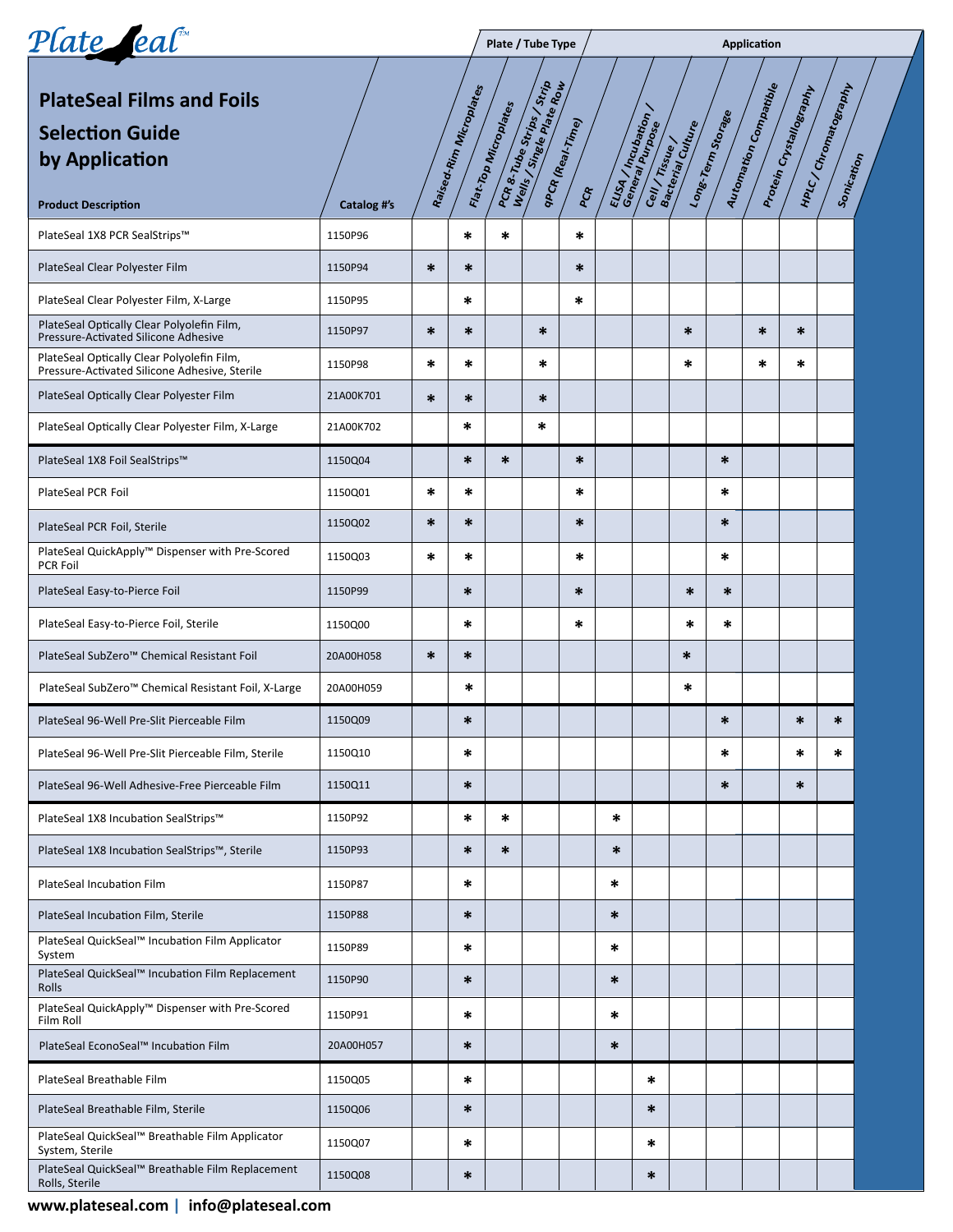| Plate eal                                                                                   |             | Plate / Tube Type |                        |                       |                                                                              |                         | Application |                                             |                                      |                   |                       |                        |                                   |  |
|---------------------------------------------------------------------------------------------|-------------|-------------------|------------------------|-----------------------|------------------------------------------------------------------------------|-------------------------|-------------|---------------------------------------------|--------------------------------------|-------------------|-----------------------|------------------------|-----------------------------------|--|
| <b>PlateSeal Films and Foils</b><br><b>Selection Guide</b><br>by Application                |             |                   | Paísed.Rim Microplates | Flat. Top Microplates | PCR & Tube Strips<br>Wells / Strige play / Strip<br>Wells / Strige plate Row | qpch (Real-Time)<br>PCR |             | ELISA / Incubation /<br>General Purbation / | Cell / Tissue /<br>Bacterial Culture | Long-Term Storage | Automation Compatible | Protein Cystallography | HPLC/Chromatography<br>Sonication |  |
| <b>Product Description</b>                                                                  | Catalog #'s |                   |                        |                       |                                                                              |                         |             |                                             |                                      |                   |                       |                        |                                   |  |
| PlateSeal 1X8 PCR SealStrips™                                                               | 1150P96     |                   | $\ast$                 | $\ast$                |                                                                              | $\ast$                  |             |                                             |                                      |                   |                       |                        |                                   |  |
| PlateSeal Clear Polyester Film                                                              | 1150P94     | $\ast$            | *                      |                       |                                                                              | ∗                       |             |                                             |                                      |                   |                       |                        |                                   |  |
| PlateSeal Clear Polyester Film, X-Large                                                     | 1150P95     |                   | *                      |                       |                                                                              | *                       |             |                                             |                                      |                   |                       |                        |                                   |  |
| PlateSeal Optically Clear Polyolefin Film,<br>Pressure-Activated Silicone Adhesive          | 1150P97     | $\ast$            | *                      |                       | $\ast$                                                                       |                         |             |                                             | $\ast$                               |                   | $\ast$                | $\ast$                 |                                   |  |
| PlateSeal Optically Clear Polyolefin Film,<br>Pressure-Activated Silicone Adhesive, Sterile | 1150P98     | $\ast$            | *                      |                       | $\ast$                                                                       |                         |             |                                             | $\ast$                               |                   | $\ast$                | $\ast$                 |                                   |  |
| PlateSeal Optically Clear Polyester Film                                                    | 21A00K701   | $\ast$            | *                      |                       | $\ast$                                                                       |                         |             |                                             |                                      |                   |                       |                        |                                   |  |
| PlateSeal Optically Clear Polyester Film, X-Large                                           | 21A00K702   |                   | *                      |                       | $\ast$                                                                       |                         |             |                                             |                                      |                   |                       |                        |                                   |  |
| PlateSeal 1X8 Foil SealStrips™                                                              | 1150Q04     |                   | $\ast$                 | $\ast$                |                                                                              | $\ast$                  |             |                                             |                                      | $\ast$            |                       |                        |                                   |  |
| PlateSeal PCR Foil                                                                          | 1150Q01     | *                 | *                      |                       |                                                                              | *                       |             |                                             |                                      | *                 |                       |                        |                                   |  |
| PlateSeal PCR Foil, Sterile                                                                 | 1150Q02     | $\ast$            | $\ast$                 |                       |                                                                              | $\ast$                  |             |                                             |                                      | $\ast$            |                       |                        |                                   |  |
| PlateSeal QuickApply™ Dispenser with Pre-Scored<br>PCR Foil                                 | 1150Q03     | *                 | *                      |                       |                                                                              | *                       |             |                                             |                                      | *                 |                       |                        |                                   |  |
| PlateSeal Easy-to-Pierce Foil                                                               | 1150P99     |                   | $\ast$                 |                       |                                                                              | $\ast$                  |             |                                             | $\ast$                               | $\ast$            |                       |                        |                                   |  |
| PlateSeal Easy-to-Pierce Foil, Sterile                                                      | 1150Q00     |                   | $\ast$                 |                       |                                                                              | *                       |             |                                             | $\ast$                               | *                 |                       |                        |                                   |  |
| PlateSeal SubZero™ Chemical Resistant Foil                                                  | 20A00H058   | $\ast$            | $\ast$                 |                       |                                                                              |                         |             |                                             | $\ast$                               |                   |                       |                        |                                   |  |
| PlateSeal SubZero™ Chemical Resistant Foil, X-Large                                         | 20A00H059   |                   | *                      |                       |                                                                              |                         |             |                                             | *                                    |                   |                       |                        |                                   |  |
| PlateSeal 96-Well Pre-Slit Pierceable Film                                                  | 1150Q09     |                   | $\ast$                 |                       |                                                                              |                         |             |                                             |                                      | $\ast$            |                       | $\ast$                 | $\ast$                            |  |
| PlateSeal 96-Well Pre-Slit Pierceable Film, Sterile                                         | 1150Q10     |                   | ∗                      |                       |                                                                              |                         |             |                                             |                                      | *                 |                       | *                      | *                                 |  |
| PlateSeal 96-Well Adhesive-Free Pierceable Film                                             | 1150Q11     |                   | $\ast$                 |                       |                                                                              |                         |             |                                             |                                      | $\ast$            |                       | $\ast$                 |                                   |  |
| PlateSeal 1X8 Incubation SealStrips™                                                        | 1150P92     |                   | ∗                      | *                     |                                                                              |                         | $\ast$      |                                             |                                      |                   |                       |                        |                                   |  |
| PlateSeal 1X8 Incubation SealStrips™, Sterile                                               | 1150P93     |                   | $\ast$                 | $\ast$                |                                                                              |                         | $\ast$      |                                             |                                      |                   |                       |                        |                                   |  |
| PlateSeal Incubation Film                                                                   | 1150P87     |                   | ∗                      |                       |                                                                              |                         | *           |                                             |                                      |                   |                       |                        |                                   |  |
| PlateSeal Incubation Film, Sterile                                                          | 1150P88     |                   | $\ast$                 |                       |                                                                              |                         | $\ast$      |                                             |                                      |                   |                       |                        |                                   |  |
| PlateSeal QuickSeal™ Incubation Film Applicator<br>System                                   | 1150P89     |                   | ∗                      |                       |                                                                              |                         | $\ast$      |                                             |                                      |                   |                       |                        |                                   |  |
| PlateSeal QuickSeal™ Incubation Film Replacement<br>Rolls                                   | 1150P90     |                   | $\ast$                 |                       |                                                                              |                         | *           |                                             |                                      |                   |                       |                        |                                   |  |
| PlateSeal QuickApply <sup>™</sup> Dispenser with Pre-Scored<br>Film Roll                    | 1150P91     |                   | ∗                      |                       |                                                                              |                         | *           |                                             |                                      |                   |                       |                        |                                   |  |
| PlateSeal EconoSeal™ Incubation Film                                                        | 20A00H057   |                   | ∗                      |                       |                                                                              |                         | *           |                                             |                                      |                   |                       |                        |                                   |  |
| PlateSeal Breathable Film                                                                   | 1150Q05     |                   | ∗                      |                       |                                                                              |                         |             | *                                           |                                      |                   |                       |                        |                                   |  |
| PlateSeal Breathable Film, Sterile                                                          | 1150Q06     |                   | $\ast$                 |                       |                                                                              |                         |             | *                                           |                                      |                   |                       |                        |                                   |  |
| PlateSeal QuickSeal™ Breathable Film Applicator<br>System, Sterile                          | 1150Q07     |                   | ∗                      |                       |                                                                              |                         |             | *                                           |                                      |                   |                       |                        |                                   |  |
| PlateSeal QuickSeal™ Breathable Film Replacement<br>Rolls, Sterile                          | 1150Q08     |                   | *                      |                       |                                                                              |                         |             | *                                           |                                      |                   |                       |                        |                                   |  |
| www.plateseal.com   info@plateseal.com                                                      |             |                   |                        |                       |                                                                              |                         |             |                                             |                                      |                   |                       |                        |                                   |  |

## **www.plateseal.com info@plateseal.com | www.plateseal.com | info@plateseal.com**